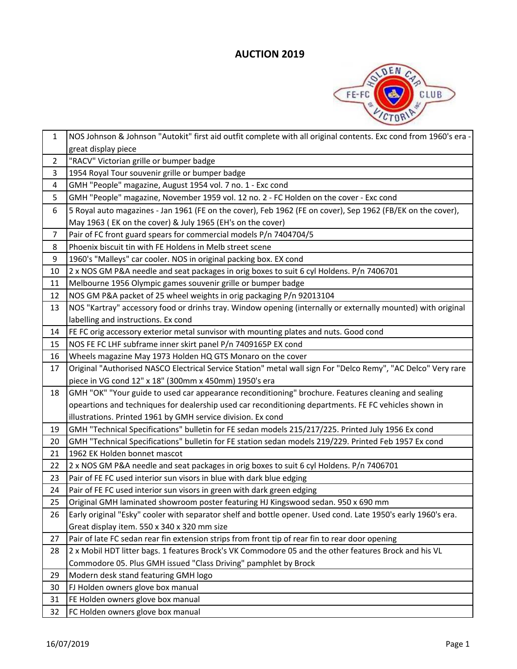

| $\mathbf{1}$   | NOS Johnson & Johnson "Autokit" first aid outfit complete with all original contents. Exc cond from 1960's era |
|----------------|----------------------------------------------------------------------------------------------------------------|
|                | great display piece                                                                                            |
| $\overline{2}$ | "RACV" Victorian grille or bumper badge                                                                        |
| 3              | 1954 Royal Tour souvenir grille or bumper badge                                                                |
| 4              | GMH "People" magazine, August 1954 vol. 7 no. 1 - Exc cond                                                     |
| 5              | GMH "People" magazine, November 1959 vol. 12 no. 2 - FC Holden on the cover - Exc cond                         |
| 6              | 5 Royal auto magazines - Jan 1961 (FE on the cover), Feb 1962 (FE on cover), Sep 1962 (FB/EK on the cover),    |
|                | May 1963 (EK on the cover) & July 1965 (EH's on the cover)                                                     |
| $\overline{7}$ | Pair of FC front guard spears for commercial models P/n 7404704/5                                              |
| 8              | Phoenix biscuit tin with FE Holdens in Melb street scene                                                       |
| 9              | 1960's "Malleys" car cooler. NOS in original packing box. EX cond                                              |
| 10             | 2 x NOS GM P&A needle and seat packages in orig boxes to suit 6 cyl Holdens. P/n 7406701                       |
| 11             | Melbourne 1956 Olympic games souvenir grille or bumper badge                                                   |
| 12             | NOS GM P&A packet of 25 wheel weights in orig packaging P/n 92013104                                           |
| 13             | NOS "Kartray" accessory food or drinhs tray. Window opening (internally or externally mounted) with original   |
|                | labelling and instructions. Ex cond                                                                            |
| 14             | FE FC orig accessory exterior metal sunvisor with mounting plates and nuts. Good cond                          |
| 15             | NOS FE FC LHF subframe inner skirt panel P/n 7409165P EX cond                                                  |
| 16             | Wheels magazine May 1973 Holden HQ GTS Monaro on the cover                                                     |
| 17             | Original "Authorised NASCO Electrical Service Station" metal wall sign For "Delco Remy", "AC Delco" Very rare  |
|                | piece in VG cond 12" x 18" (300mm x 450mm) 1950's era                                                          |
| 18             | GMH "OK" "Your guide to used car appearance reconditioning" brochure. Features cleaning and sealing            |
|                | opeartions and techniques for dealership used car reconditioning departments. FE FC vehicles shown in          |
|                | illustrations. Printed 1961 by GMH service division. Ex cond                                                   |
| 19             | GMH "Technical Specifications" bulletin for FE sedan models 215/217/225. Printed July 1956 Ex cond             |
| 20             | GMH "Technical Specifications" bulletin for FE station sedan models 219/229. Printed Feb 1957 Ex cond          |
| 21             | 1962 EK Holden bonnet mascot                                                                                   |
| 22             | 2 x NOS GM P&A needle and seat packages in orig boxes to suit 6 cyl Holdens. P/n 7406701                       |
| 23             | Pair of FE FC used interior sun visors in blue with dark blue edging                                           |
| 24             | Pair of FE FC used interior sun visors in green with dark green edging                                         |
| 25             | Original GMH laminated showroom poster featuring HJ Kingswood sedan. 950 x 690 mm                              |
| 26             | Early original "Esky" cooler with separator shelf and bottle opener. Used cond. Late 1950's early 1960's era.  |
|                | Great display item. 550 x 340 x 320 mm size                                                                    |
| 27             | Pair of late FC sedan rear fin extension strips from front tip of rear fin to rear door opening                |
| 28             | 2 x Mobil HDT litter bags. 1 features Brock's VK Commodore 05 and the other features Brock and his VL          |
|                | Commodore 05. Plus GMH issued "Class Driving" pamphlet by Brock                                                |
| 29             | Modern desk stand featuring GMH logo                                                                           |
| 30             | FJ Holden owners glove box manual                                                                              |
| 31             | FE Holden owners glove box manual                                                                              |
| 32             | FC Holden owners glove box manual                                                                              |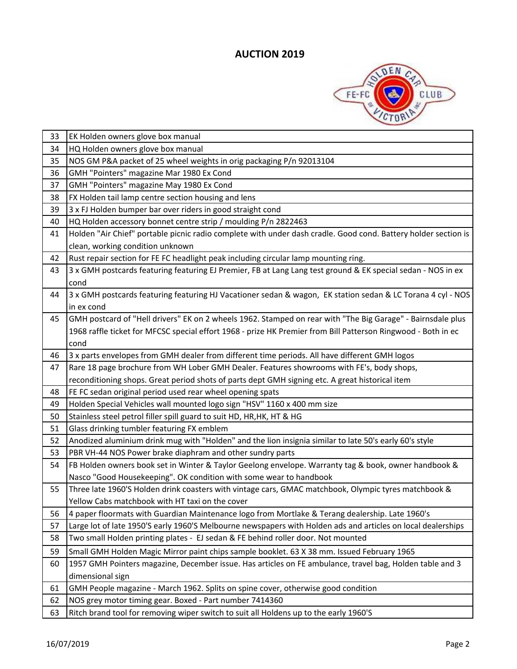

| 33 | EK Holden owners glove box manual                                                                              |
|----|----------------------------------------------------------------------------------------------------------------|
| 34 | HQ Holden owners glove box manual                                                                              |
| 35 | NOS GM P&A packet of 25 wheel weights in orig packaging P/n 92013104                                           |
| 36 | GMH "Pointers" magazine Mar 1980 Ex Cond                                                                       |
| 37 | GMH "Pointers" magazine May 1980 Ex Cond                                                                       |
| 38 | FX Holden tail lamp centre section housing and lens                                                            |
| 39 | 3 x FJ Holden bumper bar over riders in good straight cond                                                     |
| 40 | HQ Holden accessory bonnet centre strip / moulding P/n 2822463                                                 |
| 41 | Holden "Air Chief" portable picnic radio complete with under dash cradle. Good cond. Battery holder section is |
|    | clean, working condition unknown                                                                               |
| 42 | Rust repair section for FE FC headlight peak including circular lamp mounting ring.                            |
| 43 | 3 x GMH postcards featuring featuring EJ Premier, FB at Lang Lang test ground & EK special sedan - NOS in ex   |
|    | cond                                                                                                           |
| 44 | 3 x GMH postcards featuring featuring HJ Vacationer sedan & wagon, EK station sedan & LC Torana 4 cyl - NOS    |
|    | in ex cond                                                                                                     |
| 45 | GMH postcard of "Hell drivers" EK on 2 wheels 1962. Stamped on rear with "The Big Garage" - Bairnsdale plus    |
|    | 1968 raffle ticket for MFCSC special effort 1968 - prize HK Premier from Bill Patterson Ringwood - Both in ec  |
|    | cond                                                                                                           |
| 46 | 3 x parts envelopes from GMH dealer from different time periods. All have different GMH logos                  |
| 47 | Rare 18 page brochure from WH Lober GMH Dealer. Features showrooms with FE's, body shops,                      |
|    | reconditioning shops. Great period shots of parts dept GMH signing etc. A great historical item                |
| 48 | FE FC sedan original period used rear wheel opening spats                                                      |
| 49 | Holden Special Vehicles wall mounted logo sign "HSV" 1160 x 400 mm size                                        |
| 50 | Stainless steel petrol filler spill guard to suit HD, HR, HK, HT & HG                                          |
| 51 | Glass drinking tumbler featuring FX emblem                                                                     |
| 52 | Anodized aluminium drink mug with "Holden" and the lion insignia similar to late 50's early 60's style         |
| 53 | PBR VH-44 NOS Power brake diaphram and other sundry parts                                                      |
| 54 | FB Holden owners book set in Winter & Taylor Geelong envelope. Warranty tag & book, owner handbook &           |
|    | Nasco "Good Housekeeping". OK condition with some wear to handbook                                             |
| 55 | Three late 1960'S Holden drink coasters with vintage cars, GMAC matchbook, Olympic tyres matchbook &           |
|    | Yellow Cabs matchbook with HT taxi on the cover                                                                |
| 56 | 4 paper floormats with Guardian Maintenance logo from Mortlake & Terang dealership. Late 1960's                |
| 57 | Large lot of late 1950'S early 1960'S Melbourne newspapers with Holden ads and articles on local dealerships   |
| 58 | Two small Holden printing plates - EJ sedan & FE behind roller door. Not mounted                               |
| 59 | Small GMH Holden Magic Mirror paint chips sample booklet. 63 X 38 mm. Issued February 1965                     |
| 60 | 1957 GMH Pointers magazine, December issue. Has articles on FE ambulance, travel bag, Holden table and 3       |
|    | dimensional sign                                                                                               |
| 61 | GMH People magazine - March 1962. Splits on spine cover, otherwise good condition                              |
| 62 | NOS grey motor timing gear. Boxed - Part number 7414360                                                        |
| 63 | Ritch brand tool for removing wiper switch to suit all Holdens up to the early 1960'S                          |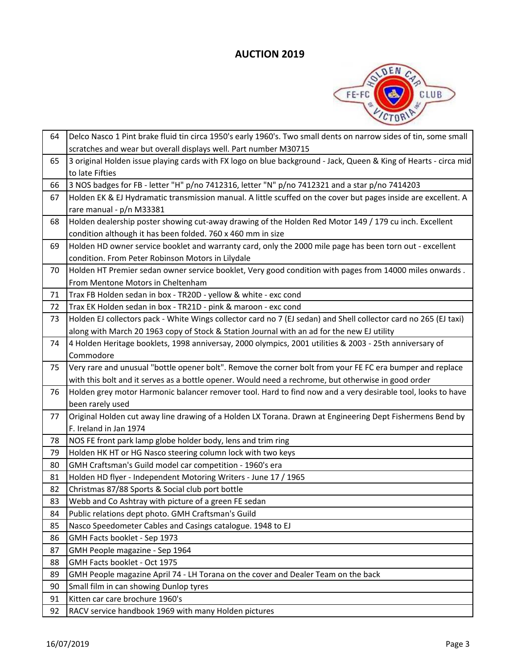

| 64 | Delco Nasco 1 Pint brake fluid tin circa 1950's early 1960's. Two small dents on narrow sides of tin, some small |
|----|------------------------------------------------------------------------------------------------------------------|
|    | scratches and wear but overall displays well. Part number M30715                                                 |
| 65 | 3 original Holden issue playing cards with FX logo on blue background - Jack, Queen & King of Hearts - circa mid |
|    | to late Fifties                                                                                                  |
| 66 | 3 NOS badges for FB - letter "H" p/no 7412316, letter "N" p/no 7412321 and a star p/no 7414203                   |
| 67 | Holden EK & EJ Hydramatic transmission manual. A little scuffed on the cover but pages inside are excellent. A   |
|    | rare manual - p/n M33381                                                                                         |
| 68 | Holden dealership poster showing cut-away drawing of the Holden Red Motor 149 / 179 cu inch. Excellent           |
|    | condition although it has been folded. 760 x 460 mm in size                                                      |
| 69 | Holden HD owner service booklet and warranty card, only the 2000 mile page has been torn out - excellent         |
|    | condition. From Peter Robinson Motors in Lilydale                                                                |
| 70 | Holden HT Premier sedan owner service booklet, Very good condition with pages from 14000 miles onwards.          |
|    | From Mentone Motors in Cheltenham                                                                                |
| 71 | Trax FB Holden sedan in box - TR20D - yellow & white - exc cond                                                  |
| 72 | Trax EK Holden sedan in box - TR21D - pink & maroon - exc cond                                                   |
| 73 | Holden EJ collectors pack - White Wings collector card no 7 (EJ sedan) and Shell collector card no 265 (EJ taxi) |
|    | along with March 20 1963 copy of Stock & Station Journal with an ad for the new EJ utility                       |
| 74 | 4 Holden Heritage booklets, 1998 anniversay, 2000 olympics, 2001 utilities & 2003 - 25th anniversary of          |
|    | Commodore                                                                                                        |
| 75 | Very rare and unusual "bottle opener bolt". Remove the corner bolt from your FE FC era bumper and replace        |
|    | with this bolt and it serves as a bottle opener. Would need a rechrome, but otherwise in good order              |
| 76 | Holden grey motor Harmonic balancer remover tool. Hard to find now and a very desirable tool, looks to have      |
|    | been rarely used                                                                                                 |
| 77 | Original Holden cut away line drawing of a Holden LX Torana. Drawn at Engineering Dept Fishermens Bend by        |
|    | F. Ireland in Jan 1974                                                                                           |
| 78 | NOS FE front park lamp globe holder body, lens and trim ring                                                     |
| 79 | Holden HK HT or HG Nasco steering column lock with two keys                                                      |
| 80 | GMH Craftsman's Guild model car competition - 1960's era                                                         |
| 81 | Holden HD flyer - Independent Motoring Writers - June 17 / 1965                                                  |
| 82 | Christmas 87/88 Sports & Social club port bottle                                                                 |
| 83 | Webb and Co Ashtray with picture of a green FE sedan                                                             |
| 84 | Public relations dept photo. GMH Craftsman's Guild                                                               |
| 85 | Nasco Speedometer Cables and Casings catalogue. 1948 to EJ                                                       |
| 86 | GMH Facts booklet - Sep 1973                                                                                     |
| 87 | GMH People magazine - Sep 1964                                                                                   |
| 88 | GMH Facts booklet - Oct 1975                                                                                     |
| 89 | GMH People magazine April 74 - LH Torana on the cover and Dealer Team on the back                                |
| 90 | Small film in can showing Dunlop tyres                                                                           |
| 91 | Kitten car care brochure 1960's                                                                                  |
| 92 | RACV service handbook 1969 with many Holden pictures                                                             |